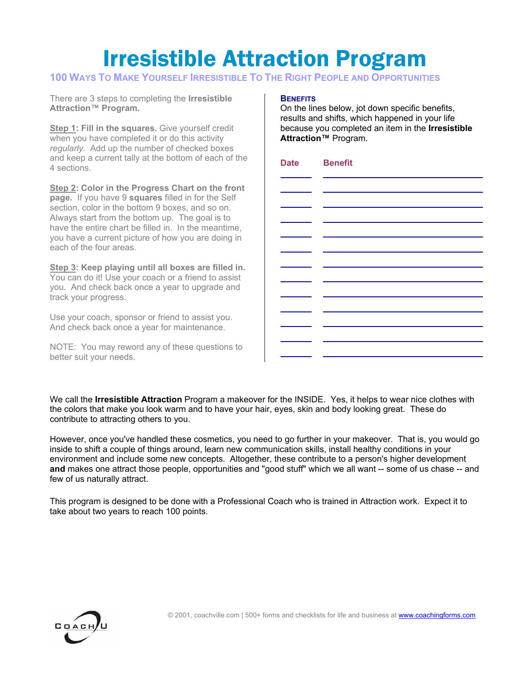# Irresistible Attraction Program

# **100 WAYS TO MAKE YOURSELF IRRESISTIBLE TO THE RIGHT PEOPLE AND OPPORTUNITIES**

There are 3 steps to completing the **Irresistible Attraction™ Program.**

**Step 1: Fill in the squares.** Give yourself credit when you have completed it or do this activity *regularly.* Add up the number of checked boxes and keep a current tally at the bottom of each of the 4 sections.

**Step 2: Color in the Progress Chart on the front page.** If you have 9 **squares** filled in for the Self section, color in the bottom 9 boxes, and so on. Always start from the bottom up. The goal is to have the entire chart be filled in. In the meantime, you have a current picture of how you are doing in each of the four areas.

**Step 3: Keep playing until all boxes are filled in.** You can do it! Use your coach or a friend to assist you. And check back once a year to upgrade and track your progress.

Use your coach, sponsor or friend to assist you. And check back once a year for maintenance.

NOTE: You may reword any of these questions to better suit your needs.

### **BENEFITS**

On the lines below, jot down specific benefits, results and shifts, which happened in your life because you completed an item in the **Irresistible Attraction™** Program.

| <b>Date</b> | <b>Benefit</b>                                                                                                         |  |  |  |  |
|-------------|------------------------------------------------------------------------------------------------------------------------|--|--|--|--|
|             |                                                                                                                        |  |  |  |  |
|             |                                                                                                                        |  |  |  |  |
|             |                                                                                                                        |  |  |  |  |
|             |                                                                                                                        |  |  |  |  |
|             |                                                                                                                        |  |  |  |  |
|             | <u> 1989 - Johann Stoff, deutscher Stoffen und der Stoffen und der Stoffen und der Stoffen und der Stoffen und der</u> |  |  |  |  |
|             |                                                                                                                        |  |  |  |  |
|             |                                                                                                                        |  |  |  |  |
|             |                                                                                                                        |  |  |  |  |
|             |                                                                                                                        |  |  |  |  |
|             |                                                                                                                        |  |  |  |  |

We call the **Irresistible Attraction** Program a makeover for the INSIDE. Yes, it helps to wear nice clothes with the colors that make you look warm and to have your hair, eyes, skin and body looking great. These do contribute to attracting others to you.

However, once you've handled these cosmetics, you need to go further in your makeover. That is, you would go inside to shift a couple of things around, learn new communication skills, install healthy conditions in your environment and include some new concepts. Altogether, these contribute to a person's higher development **and** makes one attract those people, opportunities and "good stuff" which we all want -- some of us chase -- and few of us naturally attract.

This program is designed to be done with a Professional Coach who is trained in Attraction work. Expect it to take about two years to reach 100 points.

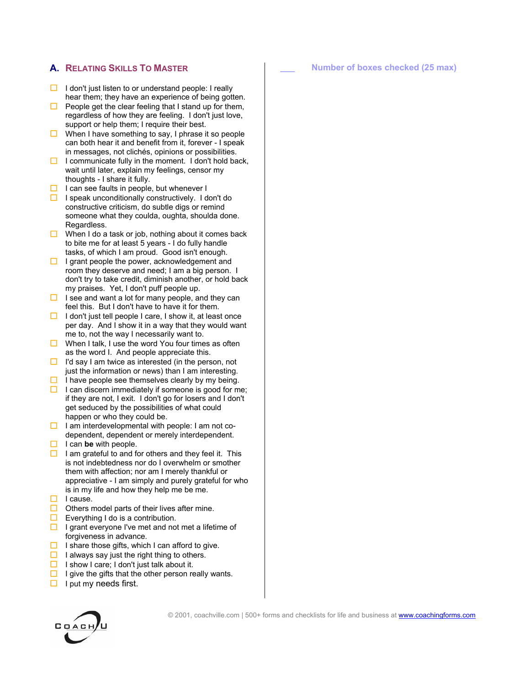#### **\_\_\_ Number of boxes checked (25 max)**

## **A. RELATING SKILLS TO MASTER**

- $\Box$  I don't just listen to or understand people: I really hear them; they have an experience of being gotten.
- $\Box$  People get the clear feeling that I stand up for them, regardless of how they are feeling. I don't just love, support or help them; I require their best.
- $\Box$  When I have something to say, I phrase it so people can both hear it and benefit from it, forever - I speak in messages, not clichés, opinions or possibilities.
- $\Box$  I communicate fully in the moment. I don't hold back, wait until later, explain my feelings, censor my thoughts - I share it fully.
- $\Box$  I can see faults in people, but whenever I
- $\Box$  I speak unconditionally constructively. I don't do constructive criticism, do subtle digs or remind someone what they coulda, oughta, shoulda done. Regardless.
- $\Box$  When I do a task or job, nothing about it comes back to bite me for at least 5 years - I do fully handle tasks, of which I am proud. Good isn't enough.
- $\Box$  I grant people the power, acknowledgement and room they deserve and need; I am a big person. I don't try to take credit, diminish another, or hold back my praises. Yet, I don't puff people up.
- $\Box$  I see and want a lot for many people, and they can feel this. But I don't have to have it for them.
- $\Box$  I don't just tell people I care, I show it, at least once per day. And I show it in a way that they would want me to, not the way I necessarily want to.
- $\Box$  When I talk, I use the word You four times as often as the word I. And people appreciate this.
- $\Box$  I'd say I am twice as interested (in the person, not just the information or news) than I am interesting.
- $\Box$  I have people see themselves clearly by my being.
- $\Box$  I can discern immediately if someone is good for me; if they are not, I exit. I don't go for losers and I don't get seduced by the possibilities of what could happen or who they could be.
- $\Box$  I am interdevelopmental with people: I am not codependent, dependent or merely interdependent.
- $\Box$  I can be with people.
- $\Box$  I am grateful to and for others and they feel it. This is not indebtedness nor do I overwhelm or smother them with affection; nor am I merely thankful or appreciative - I am simply and purely grateful for who is in my life and how they help me be me.
- $\Box$  I cause.
- $\Box$  Others model parts of their lives after mine.
- Everything I do is a contribution.
- $\Box$  I grant everyone I've met and not met a lifetime of forgiveness in advance.
- $\Box$  I share those gifts, which I can afford to give.
- $\Box$  I always say just the right thing to others.
- $\Box$  I show I care; I don't just talk about it.
- $\Box$  I give the gifts that the other person really wants.
- $\Box$  I put my needs first.

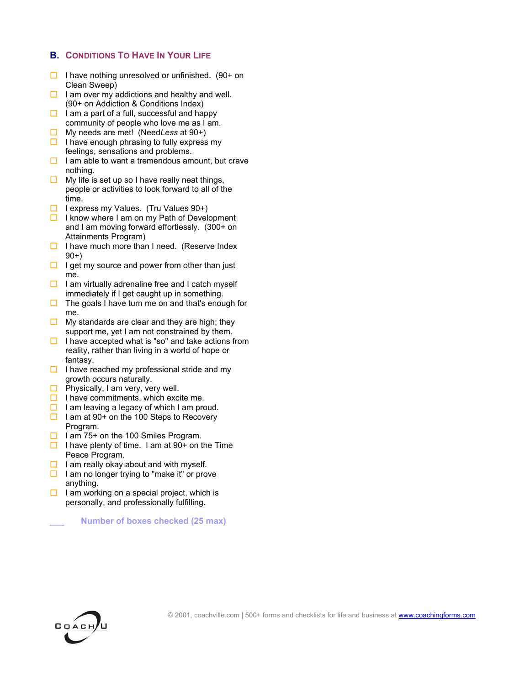## **B. CONDITIONS TO HAVE IN YOUR LIFE**

- $\Box$  I have nothing unresolved or unfinished. (90+ on Clean Sweep)
- $\Box$  I am over my addictions and healthy and well. (90+ on Addiction & Conditions Index)
- $\Box$  I am a part of a full, successful and happy community of people who love me as I am.
- My needs are met! (Need*Less* at 90+)
- $\Box$  I have enough phrasing to fully express my feelings, sensations and problems.
- $\Box$  I am able to want a tremendous amount, but crave nothing.
- $\Box$  My life is set up so I have really neat things, people or activities to look forward to all of the time.
- $\Box$  I express my Values. (Tru Values 90+)
- $\Box$  I know where I am on my Path of Development and I am moving forward effortlessly. (300+ on Attainments Program)
- $\Box$  I have much more than I need. (Reserve Index 90+)
- $\Box$  I get my source and power from other than just me.
- $\Box$  I am virtually adrenaline free and I catch myself immediately if I get caught up in something.
- $\Box$  The goals I have turn me on and that's enough for me.
- $\Box$  My standards are clear and they are high; they support me, yet I am not constrained by them.
- $\Box$  I have accepted what is "so" and take actions from reality, rather than living in a world of hope or fantasy.
- $\Box$  I have reached my professional stride and my growth occurs naturally.
- $\Box$  Physically, I am very, very well.
- $\Box$  I have commitments, which excite me.
- $\Box$  I am leaving a legacy of which I am proud.
- $\Box$  I am at 90+ on the 100 Steps to Recovery Program.
- $\Box$  I am 75+ on the 100 Smiles Program.
- I have plenty of time. I am at  $90+$  on the Time Peace Program.
- $\Box$  I am really okay about and with myself.
- $\Box$  I am no longer trying to "make it" or prove anything.
- $\Box$  I am working on a special project, which is personally, and professionally fulfilling.

**\_\_\_ Number of boxes checked (25 max)**

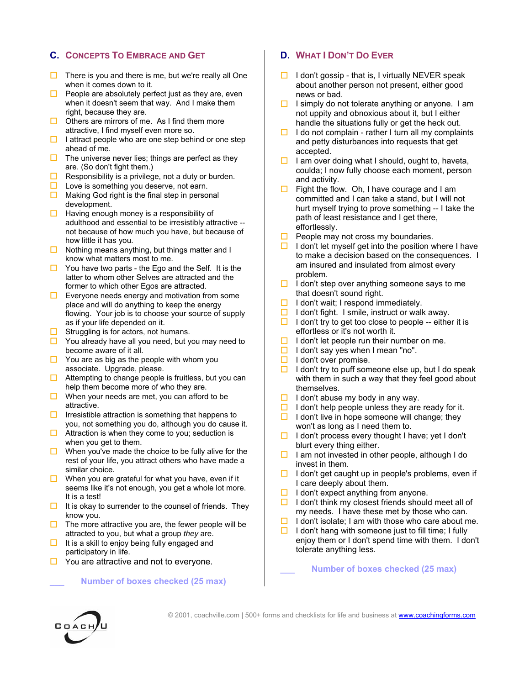## **C. CONCEPTS TO EMBRACE AND GET**

- $\Box$  There is you and there is me, but we're really all One when it comes down to it.
- $\Box$  People are absolutely perfect just as they are, even when it doesn't seem that way. And I make them right, because they are.
- $\Box$  Others are mirrors of me. As I find them more attractive, I find myself even more so.
- $\Box$  I attract people who are one step behind or one step ahead of me.
- $\Box$  The universe never lies; things are perfect as they are. (So don't fight them.)
- Responsibility is a privilege, not a duty or burden.
- $\Box$  Love is something you deserve, not earn.
- $\Box$  Making God right is the final step in personal development.
- $\Box$  Having enough money is a responsibility of adulthood and essential to be irresistibly attractive - not because of how much you have, but because of how little it has you.
- $\Box$  Nothing means anything, but things matter and I know what matters most to me.
- $\Box$  You have two parts the Ego and the Self. It is the latter to whom other Selves are attracted and the former to which other Egos are attracted.
- $\Box$  Everyone needs energy and motivation from some place and will do anything to keep the energy flowing. Your job is to choose your source of supply as if your life depended on it.
- $\Box$  Struggling is for actors, not humans.
- $\Box$  You already have all you need, but you may need to become aware of it all.
- $\Box$  You are as big as the people with whom you associate. Upgrade, please.
- $\Box$  Attempting to change people is fruitless, but you can help them become more of who they are.
- $\Box$  When your needs are met, you can afford to be attractive.
- $\Box$  Irresistible attraction is something that happens to you, not something you do, although you do cause it.
- $\Box$  Attraction is when they come to you; seduction is when you get to them.
- $\Box$  When you've made the choice to be fully alive for the rest of your life, you attract others who have made a similar choice.
- $\Box$  When you are grateful for what you have, even if it seems like it's not enough, you get a whole lot more. It is a test!
- $\Box$  It is okay to surrender to the counsel of friends. They know you.
- $\Box$  The more attractive you are, the fewer people will be attracted to you, but what a group *they* are.
- $\Box$  It is a skill to enjoy being fully engaged and participatory in life.
- $\Box$  You are attractive and not to everyone.

#### **\_\_\_ Number of boxes checked (25 max)**

### **D. WHAT I DON'T DO EVER**

- $\Box$  I don't gossip that is, I virtually NEVER speak about another person not present, either good news or bad.
- $\Box$  I simply do not tolerate anything or anyone. I am not uppity and obnoxious about it, but I either handle the situations fully or get the heck out.
- $\Box$  I do not complain rather I turn all my complaints and petty disturbances into requests that get accepted.
- $\Box$  I am over doing what I should, ought to, haveta, coulda; I now fully choose each moment, person and activity.
- $\Box$  Fight the flow. Oh, I have courage and I am committed and I can take a stand, but I will not hurt myself trying to prove something -- I take the path of least resistance and I get there, effortlessly.
- $\Box$  People may not cross my boundaries.
- $\Box$  I don't let myself get into the position where I have to make a decision based on the consequences. I am insured and insulated from almost every problem.
- $\Box$  I don't step over anything someone says to me that doesn't sound right.
- $\Box$  I don't wait; I respond immediately.
- $\Box$  I don't fight. I smile, instruct or walk away.
- $\Box$  I don't try to get too close to people -- either it is effortless or it's not worth it.
- $\Box$  I don't let people run their number on me.
- $\Box$  I don't say yes when I mean "no".<br> $\Box$  I don't over promise.
- I don't over promise.
- $\Box$  I don't try to puff someone else up, but I do speak with them in such a way that they feel good about themselves.
- $\Box$  I don't abuse my body in any way.
- $\Box$  I don't help people unless they are ready for it.
- $\Box$  I don't live in hope someone will change; they won't as long as I need them to.
- $\Box$  I don't process every thought I have; yet I don't blurt every thing either.
- $\Box$  I am not invested in other people, although I do invest in them.
- $\Box$  I don't get caught up in people's problems, even if I care deeply about them.
- $\Box$  I don't expect anything from anyone.
- $\Box$  I don't think my closest friends should meet all of my needs. I have these met by those who can.
- $\Box$  I don't isolate; I am with those who care about me.
- $\Box$  I don't hang with someone just to fill time; I fully enjoy them or I don't spend time with them. I don't tolerate anything less.

**\_\_\_ Number of boxes checked (25 max)**



© 2001, coachville.com | 500+ forms and checklists for life and business at www.coachingforms.com